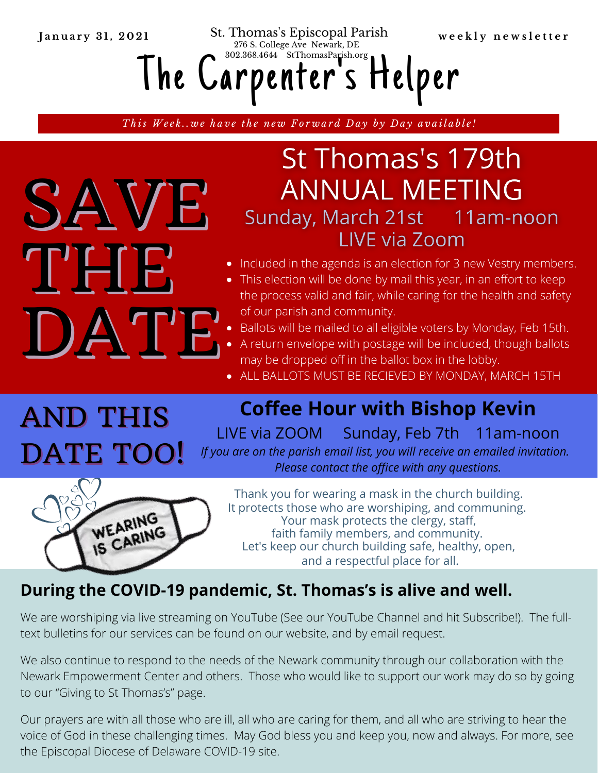January 31, 2021 St. Thomas's Episcopal Parish weekly newsletter 276 S. College Ave Newark, DE

The Carpenter '302.368.4644 StIhomasParsh.org<br>arpenter's Helper

This Week..we have the new Forward Day by Day available!

# St Thomas's 179th **ANNUAL MEETING** Sunday, March 21st 11am-noon **LIVE via Zoom**

- Included in the agenda is an election for 3 new Vestry members.
- This election will be done by mail this year, in an effort to keep the process valid and fair, while caring for the health and safety of our parish and community.
- Ballots will be mailed to all eligible voters by Monday, Feb 15th.
- A return envelope with postage will be included, though ballots may be dropped off in the ballot box in the lobby.
- ALL BALLOTS MUST BE RECIEVED BY MONDAY, MARCH 15TH

AND THIS DATE TOO!

SAVE

DAT'E

THE

**Coffee Hour with Bishop Kevin**

LIVE via ZOOM Sunday, Feb 7th 11am-noon *If you are on the parish email list, you will receive an emailed invitation. Please contact the office with any questions.*



Thank you for wearing a mask in the church building. It protects those who are worshiping, and communing. Your mask protects the clergy, staff, faith family members, and community. Let's keep our church building safe, healthy, open, and a respectful place for all.

### **During the COVID-19 pandemic, St. Thomas's is alive and well.**

We are worshiping via live streaming on YouTube (See our YouTube Channel and hit Subscribe!). The fulltext bulletins for our services can be found on our website, and by email request.

We also continue to respond to the needs of the Newark community through our collaboration with the Newark Empowerment Center and others. Those who would like to support our work may do so by going to our "Giving to St Thomas's" page.

Our prayers are with all those who are ill, all who are caring for them, and all who are striving to hear the voice of God in these challenging times. May God bless you and keep you, now and always. For more, see the Episcopal Diocese of Delaware COVID-19 site.